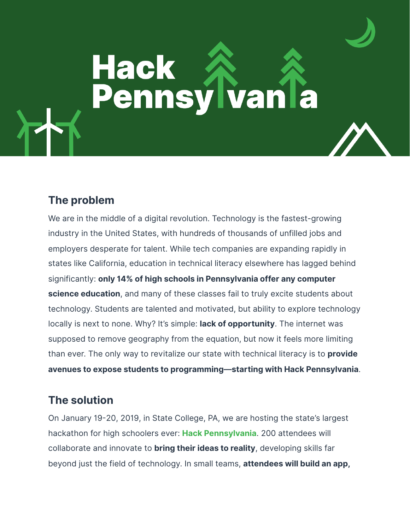# **Hack Pennsylvania**

### **The problem**

We are in the middle of a digital revolution. Technology is the fastest-growing industry in the United States, with hundreds of thousands of unfilled jobs and employers desperate for talent. While tech companies are expanding rapidly in states like California, education in technical literacy elsewhere has lagged behind significantly: **only 14% of high schools in Pennsylvania offer any computer science education**, and many of these classes fail to truly excite students about technology. Students are talented and motivated, but ability to explore technology locally is next to none. Why? It's simple: **lack of opportunity**. The internet was supposed to remove geography from the equation, but now it feels more limiting than ever. The only way to revitalize our state with technical literacy is to **provide avenues to expose students to programming—starting with Hack Pennsylvania**.

## **The solution**

On January 19-20, 2019, in State College, PA, we are hosting the state's largest hackathon for high schoolers ever: **[Hack Pennsylvania](https://hackpenn.com)**. 200 attendees will collaborate and innovate to **bring their ideas to reality**, developing skills far beyond just the field of technology. In small teams, **attendees will build an app,**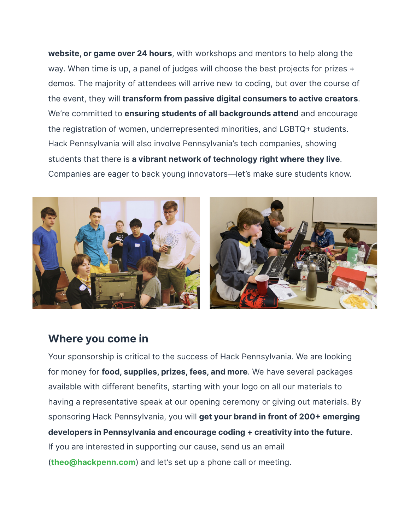**website, or game over 24 hours**, with workshops and mentors to help along the way. When time is up, a panel of judges will choose the best projects for prizes + demos. The majority of attendees will arrive new to coding, but over the course of the event, they will **transform from passive digital consumers to active creators**. We're committed to **ensuring students of all backgrounds attend** and encourage the registration of women, underrepresented minorities, and LGBTQ+ students. Hack Pennsylvania will also involve Pennsylvania's tech companies, showing students that there is **a vibrant network of technology right where they live**. Companies are eager to back young innovators—let's make sure students know.



#### **Where you come in**

Your sponsorship is critical to the success of Hack Pennsylvania. We are looking for money for **food, supplies, prizes, fees, and more**. We have several packages available with different benefits, starting with your logo on all our materials to having a representative speak at our opening ceremony or giving out materials. By sponsoring Hack Pennsylvania, you will **get your brand in front of 200+ emerging developers in Pennsylvania and encourage coding + creativity into the future**. If you are interested in supporting our cause, send us an email (**[theo@hackpenn.com](mailto:theo@hackpenn.com)**) and let's set up a phone call or meeting.